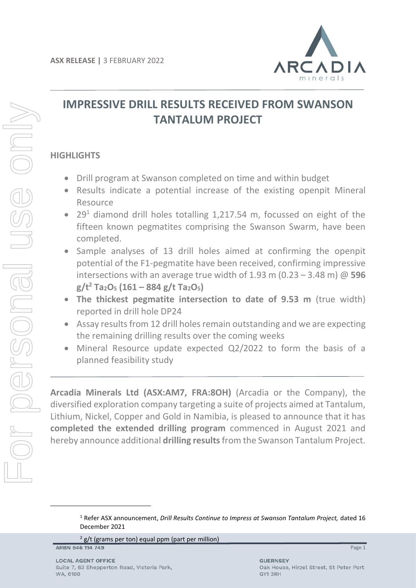

## **IMPRESSIVE DRILL RESULTS RECEIVED FROM SWANSON TANTALUM PROJECT**

## **HIGHLIGHTS**

- Drill program at Swanson completed on time and within budget
- Results indicate a potential increase of the existing openpit Mineral Resource
- 29<sup>1</sup> diamond drill holes totalling 1,217.54 m, focussed on eight of the fifteen known pegmatites comprising the Swanson Swarm, have been completed.
- Sample analyses of 13 drill holes aimed at confirming the openpit potential of the F1-pegmatite have been received, confirming impressive intersections with an average true width of 1.93 m (0.23 – 3.48 m) @ **596 g/t<sup>2</sup> Ta2O<sup>5</sup> (161 – 884 g/t Ta2O5)**
- **The thickest pegmatite intersection to date of 9.53 m** (true width) reported in drill hole DP24
- Assay results from 12 drill holes remain outstanding and we are expecting the remaining drilling results over the coming weeks
- Mineral Resource update expected Q2/2022 to form the basis of a planned feasibility study

**Arcadia Minerals Ltd (ASX:AM7, FRA:8OH)** (Arcadia or the Company), the diversified exploration company targeting a suite of projects aimed at Tantalum, Lithium, Nickel, Copper and Gold in Namibia, is pleased to announce that it has **completed the extended drilling program** commenced in August 2021 and hereby announce additional **drilling results**from the Swanson Tantalum Project.

 $2$  g/t (grams per ton) equal ppm (part per million)

ARBN 646 114 749

<sup>1</sup> Refer ASX announcement, *Drill Results Continue to Impress at Swanson Tantalum Project,* dated 16 December 2021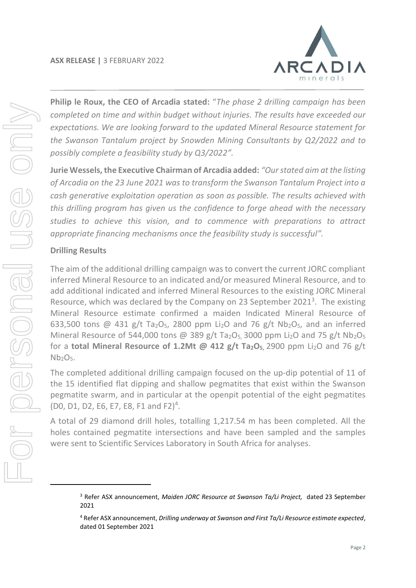

**Philip le Roux, the CEO of Arcadia stated:** "*The phase 2 drilling campaign has been completed on time and within budget without injuries. The results have exceeded our expectations. We are looking forward to the updated Mineral Resource statement for the Swanson Tantalum project by Snowden Mining Consultants by Q2/2022 and to possibly complete a feasibility study by Q3/2022".* 

**Jurie Wessels, the Executive Chairman of Arcadia added:** *"Our stated aim at the listing of Arcadia on the 23 June 2021 was to transform the Swanson Tantalum Project into a cash generative exploitation operation as soon as possible. The results achieved with this drilling program has given us the confidence to forge ahead with the necessary studies to achieve this vision, and to commence with preparations to attract appropriate financing mechanisms once the feasibility study is successful".*

## **Drilling Results**

The aim of the additional drilling campaign was to convert the current JORC compliant inferred Mineral Resource to an indicated and/or measured Mineral Resource, and to add additional indicated and inferred Mineral Resources to the existing JORC Mineral Resource, which was declared by the Company on 23 September 2021 $<sup>3</sup>$ . The existing</sup> Mineral Resource estimate confirmed a maiden Indicated Mineral Resource of 633,500 tons @ 431 g/t Ta<sub>2</sub>O<sub>5</sub>, 2800 ppm Li<sub>2</sub>O and 76 g/t Nb<sub>2</sub>O<sub>5</sub>, and an inferred Mineral Resource of 544,000 tons @ 389 g/t Ta<sub>2</sub>O<sub>5</sub>, 3000 ppm Li<sub>2</sub>O and 75 g/t Nb<sub>2</sub>O<sub>5</sub> for a **total Mineral Resource of 1.2Mt @ 412 g/t Ta2O5,** 2900 ppm Li2O and 76 g/t  $Nb<sub>2</sub>O<sub>5</sub>$ .

The completed additional drilling campaign focused on the up-dip potential of 11 of the 15 identified flat dipping and shallow pegmatites that exist within the Swanson pegmatite swarm, and in particular at the openpit potential of the eight pegmatites (D0, D1, D2, E6, E7, E8, F1 and F2) 4 .

A total of 29 diamond drill holes, totalling 1,217.54 m has been completed. All the holes contained pegmatite intersections and have been sampled and the samples were sent to Scientific Services Laboratory in South Africa for analyses.

<sup>3</sup> Refer ASX announcement, *Maiden JORC Resource at Swanson Ta/Li Project,* dated 23 September 2021

<sup>4</sup> Refer ASX announcement, *Drilling underway at Swanson and First Ta/Li Resource estimate expected*, dated 01 September 2021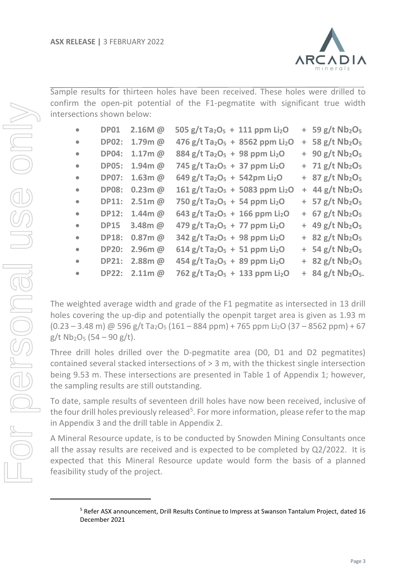

Sample results for thirteen holes have been received. These holes were drilled to confirm the open-pit potential of the F1-pegmatite with significant true width intersections shown below:

| $\bullet$ | <b>DP01</b>  | 2.16M @       | 505 g/t Ta <sub>2</sub> O <sub>5</sub> + 111 ppm Li <sub>2</sub> O  |  | $+ 59$ g/t Nb <sub>2</sub> O <sub>5</sub>   |
|-----------|--------------|---------------|---------------------------------------------------------------------|--|---------------------------------------------|
| $\bullet$ | <b>DP02:</b> | $1.79m$ @     | 476 g/t Ta <sub>2</sub> O <sub>5</sub> + 8562 ppm Li <sub>2</sub> O |  | $+$ 58 g/t Nb <sub>2</sub> O <sub>5</sub>   |
| $\bullet$ | <b>DP04:</b> | $1.17m$ @     | 884 g/t Ta <sub>2</sub> O <sub>5</sub> + 98 ppm Li <sub>2</sub> O   |  | $+90 g/t Nb2O5$                             |
| $\bullet$ | <b>DP05:</b> | $1.94m$ @     | 745 g/t Ta <sub>2</sub> O <sub>5</sub> + 37 ppm Li <sub>2</sub> O   |  | $+ 71$ g/t Nb <sub>2</sub> O <sub>5</sub>   |
| $\bullet$ | <b>DP07:</b> | $1.63m$ @     | 649 g/t Ta <sub>2</sub> O <sub>5</sub> + 542pm Li <sub>2</sub> O    |  | $+$ 87 g/t Nb <sub>2</sub> O <sub>5</sub>   |
| $\bullet$ | <b>DP08:</b> | $0.23m$ @     | 161 g/t Ta <sub>2</sub> O <sub>5</sub> + 5083 ppm Li <sub>2</sub> O |  | $+$ 44 g/t Nb <sub>2</sub> O <sub>5</sub>   |
| $\bullet$ | <b>DP11:</b> | $2.51m$ @     | 750 g/t Ta <sub>2</sub> O <sub>5</sub> + 54 ppm Li <sub>2</sub> O   |  | $+ 57 g/t Nb2O5$                            |
| $\bullet$ | <b>DP12:</b> | $1.44$ m $@$  | 643 g/t Ta <sub>2</sub> O <sub>5</sub> + 166 ppm Li <sub>2</sub> O  |  | $+ 67 g/t Nb2O5$                            |
| $\bullet$ | <b>DP15</b>  | $3.48m$ @     | 479 g/t Ta <sub>2</sub> O <sub>5</sub> + 77 ppm Li <sub>2</sub> O   |  | $+$ 49 g/t Nb <sub>2</sub> O <sub>5</sub>   |
| $\bullet$ | <b>DP18:</b> | $0.87m$ @     | $342$ g/t Ta <sub>2</sub> O <sub>5</sub> + 98 ppm Li <sub>2</sub> O |  | $+$ 82 g/t Nb <sub>2</sub> O <sub>5</sub>   |
| $\bullet$ | <b>DP20:</b> | $2.96m$ @     | $614$ g/t Ta <sub>2</sub> O <sub>5</sub> + 51 ppm Li <sub>2</sub> O |  | $+$ 54 g/t Nb <sub>2</sub> O <sub>5</sub>   |
| $\bullet$ | <b>DP21:</b> | $2.88m$ @     | 454 g/t Ta <sub>2</sub> O <sub>5</sub> + 89 ppm Li <sub>2</sub> O   |  | $+$ 82 g/t Nb <sub>2</sub> O <sub>5</sub>   |
| $\bullet$ |              | DP22: 2.11m @ | 762 g/t Ta <sub>2</sub> O <sub>5</sub> + 133 ppm Li <sub>2</sub> O  |  | $+$ 84 g/t Nb <sub>2</sub> O <sub>5</sub> . |

The weighted average width and grade of the F1 pegmatite as intersected in 13 drill holes covering the up-dip and potentially the openpit target area is given as 1.93 m  $(0.23 - 3.48 \text{ m})$  @ 596 g/t Ta<sub>2</sub>O<sub>5</sub> (161 – 884 ppm) + 765 ppm Li<sub>2</sub>O (37 – 8562 ppm) + 67  $g/t$  Nb<sub>2</sub>O<sub>5</sub> (54 – 90 g/t).

Three drill holes drilled over the D-pegmatite area (D0, D1 and D2 pegmatites) contained several stacked intersections of > 3 m, with the thickest single intersection being 9.53 m. These intersections are presented in Table 1 of Appendix 1; however, the sampling results are still outstanding.

To date, sample results of seventeen drill holes have now been received, inclusive of the four drill holes previously released<sup>5</sup>. For more information, please refer to the map in Appendix 3 and the drill table in Appendix 2.

A Mineral Resource update, is to be conducted by Snowden Mining Consultants once all the assay results are received and is expected to be completed by Q2/2022. It is expected that this Mineral Resource update would form the basis of a planned feasibility study of the project.

<sup>5</sup> Refer ASX announcement, Drill Results Continue to Impress at Swanson Tantalum Project, dated 16 December 2021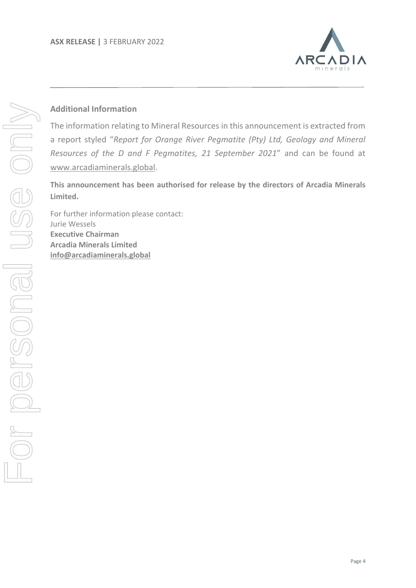

## **Additional Information**

The information relating to Mineral Resources in this announcement is extracted from a report styled "*Report for Orange River Pegmatite (Pty) Ltd, Geology and Mineral Resources of the D and F Pegmatites, 21 September 2021*" and can be found at [www.arcadiaminerals.global.](http://www.arcadiaminerals.global/)

**This announcement has been authorised for release by the directors of Arcadia Minerals Limited.**

For further information please contact: Jurie Wessels **Executive Chairman Arcadia Minerals Limited [info@arcadiaminerals.global](mailto:info@arcadiaminerals.global)**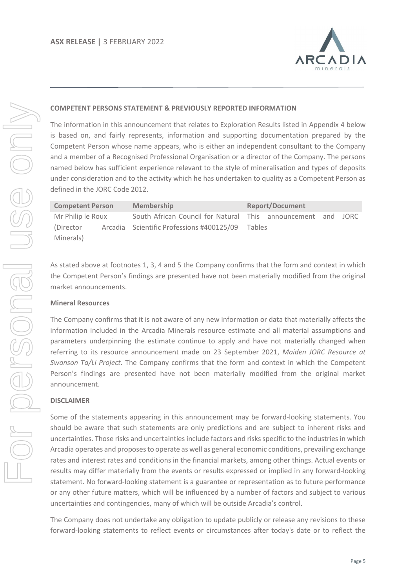

#### **COMPETENT PERSONS STATEMENT & PREVIOUSLY REPORTED INFORMATION**

The information in this announcement that relates to Exploration Results listed in Appendix 4 below is based on, and fairly represents, information and supporting documentation prepared by the Competent Person whose name appears, who is either an independent consultant to the Company and a member of a Recognised Professional Organisation or a director of the Company. The persons named below has sufficient experience relevant to the style of mineralisation and types of deposits under consideration and to the activity which he has undertaken to quality as a Competent Person as defined in the JORC Code 2012.

| <b>Competent Person</b> | <b>Membership</b>                                            | <b>Report/Document</b> |  |  |  |  |  |
|-------------------------|--------------------------------------------------------------|------------------------|--|--|--|--|--|
| Mr Philip le Roux       | South African Council for Natural This announcement and JORC |                        |  |  |  |  |  |
| (Director)              | Arcadia Scientific Professions #400125/09                    | <b>Tables</b>          |  |  |  |  |  |
| Minerals)               |                                                              |                        |  |  |  |  |  |

As stated above at footnotes 1, 3, 4 and 5 the Company confirms that the form and context in which the Competent Person's findings are presented have not been materially modified from the original market announcements.

#### **Mineral Resources**

The Company confirms that it is not aware of any new information or data that materially affects the information included in the Arcadia Minerals resource estimate and all material assumptions and parameters underpinning the estimate continue to apply and have not materially changed when referring to its resource announcement made on 23 September 2021, *Maiden JORC Resource at Swanson Ta/Li Project*. The Company confirms that the form and context in which the Competent Person's findings are presented have not been materially modified from the original market announcement.

#### **DISCLAIMER**

Some of the statements appearing in this announcement may be forward-looking statements. You should be aware that such statements are only predictions and are subject to inherent risks and uncertainties. Those risks and uncertainties include factors and risks specific to the industries in which Arcadia operates and proposes to operate as well as general economic conditions, prevailing exchange rates and interest rates and conditions in the financial markets, among other things. Actual events or results may differ materially from the events or results expressed or implied in any forward-looking statement. No forward-looking statement is a guarantee or representation as to future performance or any other future matters, which will be influenced by a number of factors and subject to various uncertainties and contingencies, many of which will be outside Arcadia's control.

The Company does not undertake any obligation to update publicly or release any revisions to these forward-looking statements to reflect events or circumstances after today's date or to reflect the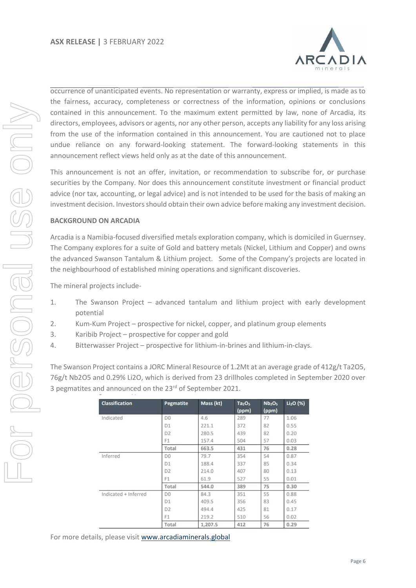

occurrence of unanticipated events. No representation or warranty, express or implied, is made as to the fairness, accuracy, completeness or correctness of the information, opinions or conclusions contained in this announcement. To the maximum extent permitted by law, none of Arcadia, its directors, employees, advisors or agents, nor any other person, accepts any liability for any loss arising from the use of the information contained in this announcement. You are cautioned not to place undue reliance on any forward-looking statement. The forward-looking statements in this announcement reflect views held only as at the date of this announcement.

This announcement is not an offer, invitation, or recommendation to subscribe for, or purchase securities by the Company. Nor does this announcement constitute investment or financial product advice (nor tax, accounting, or legal advice) and is not intended to be used for the basis of making an investment decision. Investors should obtain their own advice before making any investment decision.

#### **BACKGROUND ON ARCADIA**

Arcadia is a Namibia-focused diversified metals exploration company, which is domiciled in Guernsey. The Company explores for a suite of Gold and battery metals (Nickel, Lithium and Copper) and owns the advanced Swanson Tantalum & Lithium project. Some of the Company's projects are located in the neighbourhood of established mining operations and significant discoveries.

The mineral projects include-

- 1. The Swanson Project advanced tantalum and lithium project with early development potential
- 2. Kum-Kum Project prospective for nickel, copper, and platinum group elements
- 3. Karibib Project prospective for copper and gold
- 4. Bitterwasser Project prospective for lithium-in-brines and lithium-in-clays.

The Swanson Project contains a JORC Mineral Resource of 1.2Mt at an average grade of 412g/t Ta2O5, 76g/t Nb2O5 and 0.29% Li2O, which is derived from 23 drillholes completed in September 2020 over 3 pegmatites and announced on the 23<sup>rd</sup> of September 2021.

| <b>Classification</b> | Pegmatite      | Mass (kt) | Ta <sub>2</sub> O <sub>5</sub><br>(ppm) | Nb <sub>2</sub> O <sub>5</sub><br>(ppm) | Li <sub>2</sub> O (%) |
|-----------------------|----------------|-----------|-----------------------------------------|-----------------------------------------|-----------------------|
| Indicated             | D <sub>0</sub> | 4.6       | 289                                     | 77                                      | 1.06                  |
|                       | D <sub>1</sub> | 221.1     | 372                                     | 82                                      | 0.55                  |
|                       | D <sub>2</sub> | 280.5     | 439                                     | 82                                      | 0.20                  |
|                       | F <sub>1</sub> | 157.4     | 504                                     | 57                                      | 0.03                  |
|                       | Total          | 663.5     | 431                                     | 76                                      | 0.28                  |
| Inferred              | D <sub>0</sub> | 79.7      | 354                                     | 54                                      | 0.87                  |
|                       | D <sub>1</sub> | 188.4     | 337                                     | 85                                      | 0.34                  |
|                       | D <sub>2</sub> | 214.0     | 407                                     | 80                                      | 0.13                  |
|                       | F1             | 61.9      | 527                                     | 55                                      | 0.01                  |
|                       | Total          | 544.0     | 389                                     | 75                                      | 0.30                  |
| Indicated + Inferred  | D <sub>0</sub> | 84.3      | 351                                     | 55                                      | 0.88                  |
|                       | D <sub>1</sub> | 409.5     | 356                                     | 83                                      | 0.45                  |
|                       | D <sub>2</sub> | 494.4     | 425                                     | 81                                      | 0.17                  |
|                       | F <sub>1</sub> | 219.2     | 510                                     | 56                                      | 0.02                  |
|                       | Total          | 1.207.5   | 412                                     | 76                                      | 0.29                  |

For more details, please visit [www.arcadiaminerals.global](http://www.arcadiaminerals.global/)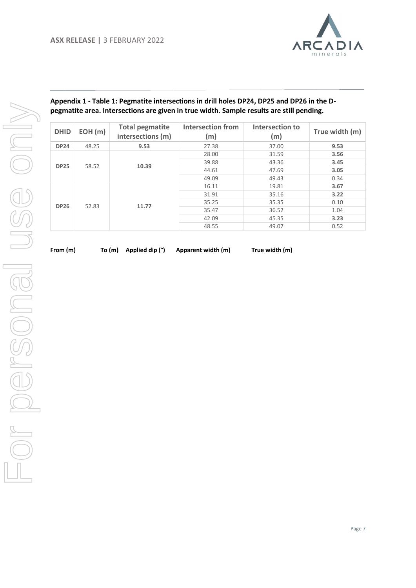

| <b>DHID</b> | EOH(m) | <b>Total pegmatite</b><br>intersections (m) | <b>Intersection from</b><br>(m) | Intersection to<br>(m) | True width (m) |
|-------------|--------|---------------------------------------------|---------------------------------|------------------------|----------------|
| <b>DP24</b> | 48.25  | 9.53                                        | 27.38                           | 37.00                  | 9.53           |
|             |        |                                             | 28.00                           | 31.59                  | 3.56           |
|             |        |                                             | 39.88                           | 43.36                  | 3.45           |
| <b>DP25</b> | 58.52  | 10.39                                       | 44.61                           | 47.69                  | 3.05           |
|             |        |                                             | 49.09                           | 49.43                  | 0.34           |
|             |        |                                             | 16.11                           | 19.81                  | 3.67           |
|             |        |                                             | 31.91                           | 35.16                  | 3.22           |
|             |        |                                             | 35.25                           | 35.35                  | 0.10           |
| <b>DP26</b> | 52.83  | 11.77                                       | 35.47                           | 36.52                  | 1.04           |
|             |        |                                             | 42.09                           | 45.35                  | 3.23           |
|             |        |                                             | 48.55                           | 49.07                  | 0.52           |

**Appendix 1 - Table 1: Pegmatite intersections in drill holes DP24, DP25 and DP26 in the D-**

**From (m) To (m) Applied dip (°) Apparent width (m) True width (m)**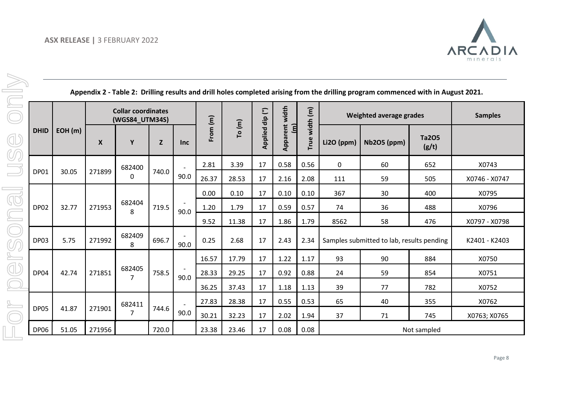

| Appendix 2 - Table 2: Drilling results and drill holes completed arising from the drilling program commenced with in August 2021. |  |
|-----------------------------------------------------------------------------------------------------------------------------------|--|
|-----------------------------------------------------------------------------------------------------------------------------------|--|

|             |        |                  | <b>Collar coordinates</b><br>(WGS84_UTM34S) |              |            |            |        | dip (°) | width                               | width (m) |            | Weighted average grades                   |                       | <b>Samples</b> |
|-------------|--------|------------------|---------------------------------------------|--------------|------------|------------|--------|---------|-------------------------------------|-----------|------------|-------------------------------------------|-----------------------|----------------|
| <b>DHID</b> | EOH(m) | $\boldsymbol{X}$ | Y                                           | $\mathbf{Z}$ | <b>Inc</b> | From $(m)$ | To (m) | Applied | Apparent<br>$\overline{\mathbf{E}}$ | True      | Li2O (ppm) | <b>Nb2O5 (ppm)</b>                        | <b>Ta2O5</b><br>(g/t) |                |
|             |        |                  | 682400                                      |              |            | 2.81       | 3.39   | 17      | 0.58                                | 0.56      | 0          | 60                                        | 652                   | X0743          |
| <b>DP01</b> | 30.05  | 271899           | 0                                           | 740.0        | 90.0       | 26.37      | 28.53  | 17      | 2.16                                | 2.08      | 111        | 59                                        | 505                   | X0746 - X0747  |
|             |        |                  |                                             |              |            | 0.00       | 0.10   | 17      | 0.10                                | 0.10      | 367        | 30                                        | 400                   | X0795          |
| <b>DP02</b> | 32.77  | 271953           | 682404<br>8                                 | 719.5        | 90.0       | 1.20       | 1.79   | 17      | 0.59                                | 0.57      | 74         | 36                                        | 488                   | X0796          |
|             |        |                  |                                             |              |            | 9.52       | 11.38  | 17      | 1.86                                | 1.79      | 8562       | 58                                        | 476                   | X0797 - X0798  |
| DP03        | 5.75   | 271992           | 682409<br>8                                 | 696.7        | 90.0       | 0.25       | 2.68   | 17      | 2.43                                | 2.34      |            | Samples submitted to lab, results pending |                       | K2401 - K2403  |
|             |        |                  |                                             |              |            | 16.57      | 17.79  | 17      | 1.22                                | 1.17      | 93         | 90                                        | 884                   | X0750          |
| <b>DP04</b> | 42.74  | 271851           | 682405<br>7                                 | 758.5        | 90.0       | 28.33      | 29.25  | 17      | 0.92                                | 0.88      | 24         | 59                                        | 854                   | X0751          |
|             |        |                  |                                             |              |            | 36.25      | 37.43  | 17      | 1.18                                | 1.13      | 39         | 77                                        | 782                   | X0752          |
|             |        |                  | 682411                                      |              |            | 27.83      | 28.38  | 17      | 0.55                                | 0.53      | 65         | 40                                        | 355                   | X0762          |
| <b>DP05</b> | 41.87  | 271901           | 7                                           | 744.6        | 90.0       | 30.21      | 32.23  | 17      | 2.02                                | 1.94      | 37         | 71                                        | 745                   | X0763; X0765   |
| DP06        | 51.05  | 271956           |                                             | 720.0        |            | 23.38      | 23.46  | 17      | 0.08                                | 0.08      |            |                                           | Not sampled           |                |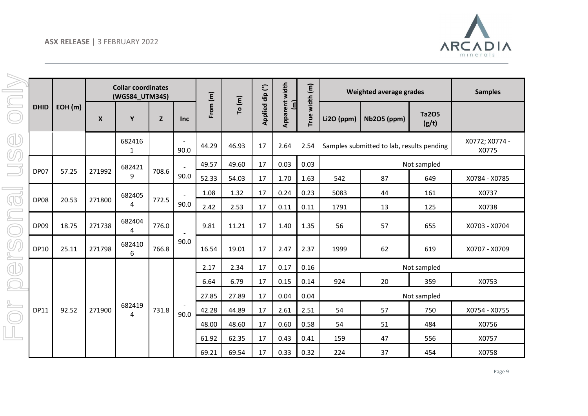

|                       |             |        |        | <b>Collar coordinates</b><br>(WGS84_UTM34S) |       |                |          |        |                            |                                  | width (m)         |            | <b>Weighted average grades</b>            |                       | <b>Samples</b>          |
|-----------------------|-------------|--------|--------|---------------------------------------------|-------|----------------|----------|--------|----------------------------|----------------------------------|-------------------|------------|-------------------------------------------|-----------------------|-------------------------|
| $\boxed{\phantom{1}}$ | <b>DHID</b> | EOH(m) | X      | Y                                           | Z     | <b>Inc</b>     | From (m) | To (m) | Applied dip <sup>(°)</sup> | Apparent width<br>$\overline{a}$ | True <sup>-</sup> | Li2O (ppm) | <b>Nb2O5 (ppm)</b>                        | <b>Ta2O5</b><br>(g/t) |                         |
| d'<br>UQ              |             |        |        | 682416<br>1                                 |       | 90.0           | 44.29    | 46.93  | 17                         | 2.64                             | 2.54              |            | Samples submitted to lab, results pending |                       | X0772; X0774 -<br>X0775 |
|                       |             |        |        | 682421                                      |       |                | 49.57    | 49.60  | 17                         | 0.03                             | 0.03              |            |                                           | Not sampled           |                         |
|                       | DP07        | 57.25  | 271992 | 9                                           | 708.6 | 90.0           | 52.33    | 54.03  | 17                         | 1.70                             | 1.63              | 542        | 87                                        | 649                   | X0784 - X0785           |
|                       |             |        |        | 682405                                      |       | $\blacksquare$ | 1.08     | 1.32   | 17                         | 0.24                             | 0.23              | 5083       | 44                                        | 161                   | X0737                   |
| CO                    | <b>DP08</b> | 20.53  | 271800 | 4                                           | 772.5 | 90.0           | 2.42     | 2.53   | 17                         | 0.11                             | 0.11              | 1791       | 13                                        | 125                   | X0738                   |
| $\subset$             | <b>DP09</b> | 18.75  | 271738 | 682404<br>4                                 | 776.0 |                | 9.81     | 11.21  | 17                         | 1.40                             | 1.35              | 56         | 57                                        | 655                   | X0703 - X0704           |
| ØQ                    | <b>DP10</b> | 25.11  | 271798 | 682410<br>6                                 | 766.8 | 90.0           | 16.54    | 19.01  | 17                         | 2.47                             | 2.37              | 1999       | 62                                        | 619                   | X0707 - X0709           |
| Œ                     |             |        |        |                                             |       |                | 2.17     | 2.34   | 17                         | 0.17                             | 0.16              |            |                                           | Not sampled           |                         |
|                       |             |        |        |                                             |       |                | 6.64     | 6.79   | 17                         | 0.15                             | 0.14              | 924        | 20                                        | 359                   | X0753                   |
|                       |             |        |        |                                             |       |                | 27.85    | 27.89  | 17                         | 0.04                             | 0.04              |            |                                           | Not sampled           |                         |
|                       | <b>DP11</b> | 92.52  | 271900 | 682419<br>$\boldsymbol{A}$                  | 731.8 | 90.0           | 42.28    | 44.89  | 17                         | 2.61                             | 2.51              | 54         | 57                                        | 750                   | X0754 - X0755           |
|                       |             |        |        |                                             |       |                | 48.00    | 48.60  | 17                         | 0.60                             | 0.58              | 54         | 51                                        | 484                   | X0756                   |
|                       |             |        |        |                                             |       |                | 61.92    | 62.35  | 17                         | 0.43                             | 0.41              | 159        | 47                                        | 556                   | X0757                   |
|                       |             |        |        |                                             |       |                | 69.21    | 69.54  | 17                         | 0.33                             | 0.32              | 224        | 37                                        | 454                   | X0758                   |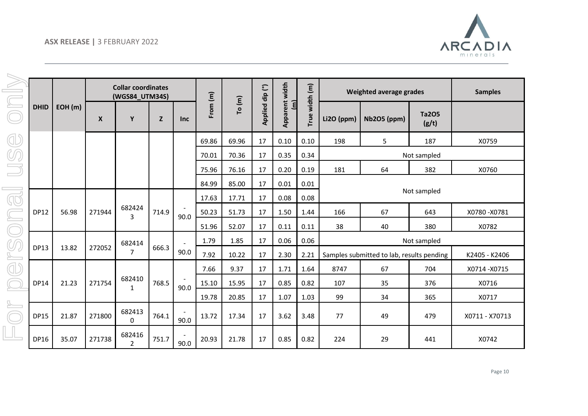

|                         |             |        |        | <b>Collar coordinates</b><br>(WGS84_UTM34S) |       |                |          |        | width (m)       |                                  |      | Weighted average grades |                                           | <b>Samples</b>        |                |
|-------------------------|-------------|--------|--------|---------------------------------------------|-------|----------------|----------|--------|-----------------|----------------------------------|------|-------------------------|-------------------------------------------|-----------------------|----------------|
| $\boxed{\square}$       | <b>DHID</b> | EOH(m) | X      | Y                                           | Z     | <b>Inc</b>     | From (m) | To (m) | Applied dip (°) | Apparent width<br>$\overline{a}$ | True | Li2O (ppm)              | <b>Nb2O5 (ppm)</b>                        | <b>Ta2O5</b><br>(g/t) |                |
| Œ                       |             |        |        |                                             |       |                | 69.86    | 69.96  | 17              | 0.10                             | 0.10 | 198                     | 5                                         | 187                   | X0759          |
| UQ                      |             |        |        |                                             |       |                | 70.01    | 70.36  | 17              | 0.35                             | 0.34 |                         |                                           | Not sampled           |                |
| $\Box$                  |             |        |        |                                             |       |                | 75.96    | 76.16  | 17              | 0.20                             | 0.19 | 181                     | 64                                        | 382                   | X0760          |
|                         |             |        |        |                                             |       |                | 84.99    | 85.00  | 17              | 0.01                             | 0.01 |                         |                                           |                       |                |
| $\overline{\mathbb{G}}$ |             |        |        |                                             |       |                | 17.63    | 17.71  | 17              | 0.08                             | 0.08 |                         |                                           | Not sampled           |                |
|                         | <b>DP12</b> | 56.98  | 271944 | 682424<br>3                                 | 714.9 | 90.0           | 50.23    | 51.73  | 17              | 1.50                             | 1.44 | 166                     | 67                                        | 643                   | X0780-X0781    |
|                         |             |        |        |                                             |       |                | 51.96    | 52.07  | 17              | 0.11                             | 0.11 | 38                      | 40                                        | 380                   | X0782          |
| $\mathbb{O}$            |             |        |        | 682414                                      |       | $\overline{a}$ | 1.79     | 1.85   | 17              | 0.06                             | 0.06 |                         |                                           | Not sampled           |                |
|                         | <b>DP13</b> | 13.82  | 272052 | $\overline{7}$                              | 666.3 | 90.0           | 7.92     | 10.22  | 17              | 2.30                             | 2.21 |                         | Samples submitted to lab, results pending |                       | K2405 - K2406  |
| Œ                       |             |        |        |                                             |       |                | 7.66     | 9.37   | 17              | 1.71                             | 1.64 | 8747                    | 67                                        | 704                   | X0714-X0715    |
|                         | <b>DP14</b> | 21.23  | 271754 | 682410<br>1                                 | 768.5 | 90.0           | 15.10    | 15.95  | 17              | 0.85                             | 0.82 | 107                     | 35                                        | 376                   | X0716          |
|                         |             |        |        |                                             |       |                | 19.78    | 20.85  | 17              | 1.07                             | 1.03 | 99                      | 34                                        | 365                   | X0717          |
|                         | <b>DP15</b> | 21.87  | 271800 | 682413<br>0                                 | 764.1 | 90.0           | 13.72    | 17.34  | 17              | 3.62                             | 3.48 | 77                      | 49                                        | 479                   | X0711 - X70713 |
|                         | <b>DP16</b> | 35.07  | 271738 | 682416<br>$\overline{2}$                    | 751.7 | 90.0           | 20.93    | 21.78  | 17              | 0.85                             | 0.82 | 224                     | 29                                        | 441                   | X0742          |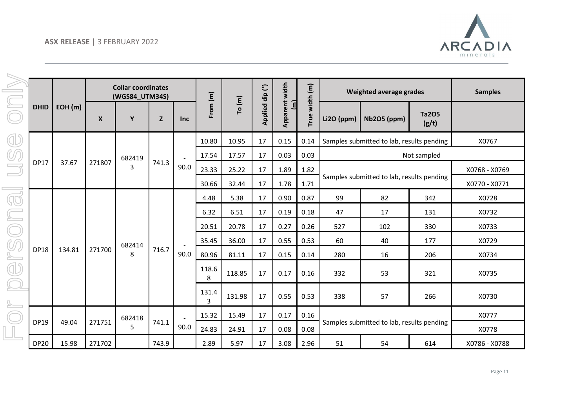

| $\subset$               |             |        |                  | <b>Collar coordinates</b><br>(WGS84_UTM34S) |              |                |            |        |                 |                                         | width (m) | <b>Weighted average grades</b>            |                                           | <b>Samples</b>        |               |
|-------------------------|-------------|--------|------------------|---------------------------------------------|--------------|----------------|------------|--------|-----------------|-----------------------------------------|-----------|-------------------------------------------|-------------------------------------------|-----------------------|---------------|
|                         | <b>DHID</b> | EOH(m) | $\boldsymbol{X}$ | Y                                           | $\mathbf{Z}$ | <b>Inc</b>     | From $(m)$ | To (m) | Applied dip (°) | <b>Apparent width</b><br>$\overline{a}$ | True      | Li2O (ppm)                                | <b>Nb2O5</b> (ppm)                        | <b>Ta2O5</b><br>(g/t) |               |
| Œ                       |             |        |                  |                                             |              |                | 10.80      | 10.95  | 17              | 0.15                                    | 0.14      |                                           | Samples submitted to lab, results pending |                       | X0767         |
| $\mathbb{O}$            |             |        |                  | 682419                                      |              | $\sim$         | 17.54      | 17.57  | 17              | 0.03                                    | 0.03      |                                           |                                           | Not sampled           |               |
|                         | <b>DP17</b> | 37.67  | 271807           | 3                                           | 741.3        | 90.0           | 23.33      | 25.22  | 17              | 1.89                                    | 1.82      |                                           |                                           |                       | X0768 - X0769 |
|                         |             |        |                  |                                             |              |                | 30.66      | 32.44  | 17              | 1.78                                    | 1.71      |                                           | Samples submitted to lab, results pending |                       | X0770 - X0771 |
| $\overline{\mathbb{Q}}$ |             |        |                  |                                             |              |                | 4.48       | 5.38   | 17              | 0.90                                    | 0.87      | 99                                        | 82                                        | 342                   | X0728         |
|                         |             |        |                  |                                             |              |                | 6.32       | 6.51   | 17              | 0.19                                    | 0.18      | 47                                        | 17                                        | 131                   | X0732         |
| $\bigcirc$              |             |        |                  |                                             |              |                | 20.51      | 20.78  | 17              | 0.27                                    | 0.26      | 527                                       | 102                                       | 330                   | X0733         |
|                         |             |        |                  | 682414                                      |              |                | 35.45      | 36.00  | 17              | 0.55                                    | 0.53      | 60                                        | 40                                        | 177                   | X0729         |
| FO                      | <b>DP18</b> | 134.81 | 271700           | 8                                           | 716.7        | 90.0           | 80.96      | 81.11  | 17              | 0.15                                    | 0.14      | 280                                       | 16                                        | 206                   | X0734         |
| <b>d</b>                |             |        |                  |                                             |              |                | 118.6<br>8 | 118.85 | 17              | 0.17                                    | 0.16      | 332                                       | 53                                        | 321                   | X0735         |
|                         |             |        |                  |                                             |              |                | 131.4<br>3 | 131.98 | 17              | 0.55                                    | 0.53      | 338                                       | 57                                        | 266                   | X0730         |
|                         |             |        |                  | 682418                                      |              | $\overline{a}$ | 15.32      | 15.49  | 17              | 0.17                                    | 0.16      |                                           |                                           |                       | X0777         |
|                         | <b>DP19</b> | 49.04  | 271751           | 5                                           | 741.1        | 90.0           | 24.83      | 24.91  | 17              | 0.08                                    | 0.08      | Samples submitted to lab, results pending |                                           | X0778                 |               |
|                         | <b>DP20</b> | 15.98  | 271702           |                                             | 743.9        |                | 2.89       | 5.97   | 17              | 3.08                                    | 2.96      | 51                                        | 54                                        | 614                   | X0786 - X0788 |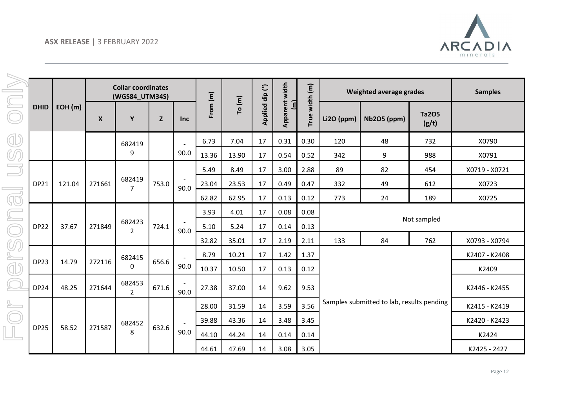

| $\boxed{\underline{\subseteq}}$ |             |        |                    | <b>Collar coordinates</b><br>(WGS84_UTM34S) |       |                                  |            |        |                 |                                         | width (m) | Weighted average grades |                                           |                       | <b>Samples</b> |
|---------------------------------|-------------|--------|--------------------|---------------------------------------------|-------|----------------------------------|------------|--------|-----------------|-----------------------------------------|-----------|-------------------------|-------------------------------------------|-----------------------|----------------|
|                                 | <b>DHID</b> | EOH(m) | $\pmb{\mathsf{X}}$ | Y                                           | Z     | <b>Inc</b>                       | From $(m)$ | To (m) | Applied dip (°) | <b>Apparent width</b><br>$\overline{a}$ | True      | Li2O (ppm)              | <b>Nb2O5 (ppm)</b>                        | <b>Ta2O5</b><br>(g/t) |                |
| Œ                               |             |        |                    | 682419                                      |       |                                  | 6.73       | 7.04   | 17              | 0.31                                    | 0.30      | 120                     | 48                                        | 732                   | X0790          |
| ØQ                              |             |        |                    | 9                                           |       | 90.0                             | 13.36      | 13.90  | 17              | 0.54                                    | 0.52      | 342                     | 9                                         | 988                   | X0791          |
|                                 |             |        |                    |                                             |       |                                  | 5.49       | 8.49   | 17              | 3.00                                    | 2.88      | 89                      | 82                                        | 454                   | X0719 - X0721  |
|                                 | <b>DP21</b> | 121.04 | 271661             | 682419<br>$\overline{7}$                    | 753.0 | $\overline{\phantom{a}}$<br>90.0 | 23.04      | 23.53  | 17              | 0.49                                    | 0.47      | 332                     | 49                                        | 612                   | X0723          |
|                                 |             |        |                    |                                             |       |                                  | 62.82      | 62.95  | 17              | 0.13                                    | 0.12      | 773                     | 24                                        | 189                   | X0725          |
| CO                              |             |        |                    |                                             |       |                                  | 3.93       | 4.01   | 17              | 0.08                                    | 0.08      |                         |                                           |                       |                |
|                                 | <b>DP22</b> | 37.67  | 271849             | 682423<br>$\overline{2}$                    | 724.1 | 90.0                             | 5.10       | 5.24   | 17              | 0.14                                    | 0.13      |                         |                                           | Not sampled           |                |
|                                 |             |        |                    |                                             |       |                                  | 32.82      | 35.01  | 17              | 2.19                                    | 2.11      | 133                     | 84                                        | 762                   | X0793 - X0794  |
| <u>VP</u>                       |             |        |                    | 682415                                      |       | $\overline{a}$                   | 8.79       | 10.21  | 17              | 1.42                                    | 1.37      |                         |                                           |                       | K2407 - K2408  |
| <b>ID</b>                       | <b>DP23</b> | 14.79  | 272116             | 0                                           | 656.6 | 90.0                             | 10.37      | 10.50  | 17              | 0.13                                    | 0.12      |                         |                                           |                       | K2409          |
|                                 | <b>DP24</b> | 48.25  | 271644             | 682453<br>$\overline{2}$                    | 671.6 | 90.0                             | 27.38      | 37.00  | 14              | 9.62                                    | 9.53      |                         |                                           |                       | K2446 - K2455  |
|                                 |             |        |                    |                                             |       |                                  | 28.00      | 31.59  | 14              | 3.59                                    | 3.56      |                         | Samples submitted to lab, results pending |                       | K2415 - K2419  |
|                                 |             |        |                    | 682452                                      |       | $\sim$                           | 39.88      | 43.36  | 14              | 3.48                                    | 3.45      |                         |                                           |                       | K2420 - K2423  |
|                                 | <b>DP25</b> | 58.52  | 271587             | 8                                           | 632.6 | 90.0                             | 44.10      | 44.24  | 14              | 0.14                                    | 0.14      |                         |                                           |                       | K2424          |
|                                 |             |        |                    |                                             |       |                                  | 44.61      | 47.69  | 14              | 3.08                                    | 3.05      |                         |                                           |                       | K2425 - 2427   |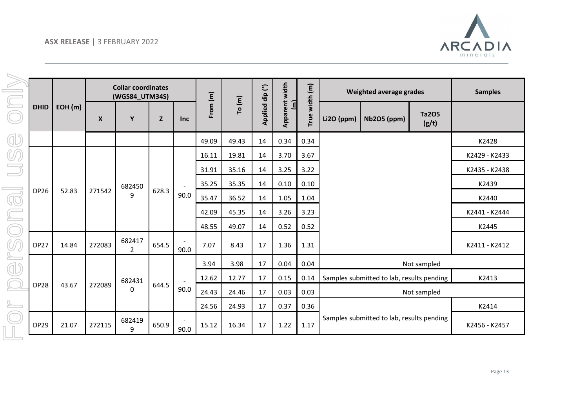

|                         |             |        |                    | <b>Collar coordinates</b><br>(WGS84_UTM34S) |             |            |          |        |                 |                            | width (m) |            | Weighted average grades                   |                | <b>Samples</b> |
|-------------------------|-------------|--------|--------------------|---------------------------------------------|-------------|------------|----------|--------|-----------------|----------------------------|-----------|------------|-------------------------------------------|----------------|----------------|
|                         | <b>DHID</b> | EOH(m) | $\pmb{\mathsf{X}}$ | Y                                           | $\mathbf Z$ | <b>Inc</b> | From (m) | To (m) | Applied dip (°) | <b>Apparent width</b><br>目 | True      | Li2O (ppm) | <b>Nb2O5</b> (ppm)                        | Ta205<br>(g/t) |                |
| d                       |             |        |                    |                                             |             |            | 49.09    | 49.43  | 14              | 0.34                       | 0.34      |            |                                           |                | K2428          |
|                         |             |        |                    |                                             |             |            | 16.11    | 19.81  | 14              | 3.70                       | 3.67      |            |                                           |                | K2429 - K2433  |
|                         |             |        |                    |                                             |             |            | 31.91    | 35.16  | 14              | 3.25                       | 3.22      |            |                                           |                | K2435 - K2438  |
|                         | <b>DP26</b> |        | 271542             | 682450                                      | 628.3       |            | 35.25    | 35.35  | 14              | 0.10                       | 0.10      |            |                                           |                | K2439          |
| $\overline{\mathbb{Q}}$ |             | 52.83  |                    | 9                                           |             | 90.0       | 35.47    | 36.52  | 14              | 1.05                       | 1.04      |            |                                           |                | K2440          |
|                         |             |        |                    |                                             |             |            | 42.09    | 45.35  | 14              | 3.26                       | 3.23      |            |                                           |                | K2441 - K2444  |
|                         |             |        |                    |                                             |             |            | 48.55    | 49.07  | 14              | 0.52                       | 0.52      |            |                                           |                | K2445          |
|                         | <b>DP27</b> | 14.84  | 272083             | 682417<br>$\overline{2}$                    | 654.5       | 90.0       | 7.07     | 8.43   | 17              | 1.36                       | 1.31      |            |                                           |                | K2411 - K2412  |
| ď                       |             |        |                    |                                             |             |            | 3.94     | 3.98   | 17              | 0.04                       | 0.04      |            |                                           | Not sampled    |                |
|                         |             |        |                    | 682431                                      |             | $\sim$     | 12.62    | 12.77  | 17              | 0.15                       | 0.14      |            | Samples submitted to lab, results pending |                | K2413          |
|                         | <b>DP28</b> | 43.67  | 272089             | 0                                           | 644.5       | 90.0       | 24.43    | 24.46  | 17              | 0.03                       | 0.03      |            |                                           | Not sampled    |                |
|                         |             |        |                    |                                             |             |            | 24.56    | 24.93  | 17              | 0.37                       | 0.36      |            |                                           |                | K2414          |
|                         | <b>DP29</b> | 21.07  | 272115             | 682419<br>9                                 | 650.9       | 90.0       | 15.12    | 16.34  | 17              | 1.22                       | 1.17      |            | Samples submitted to lab, results pending |                | K2456 - K2457  |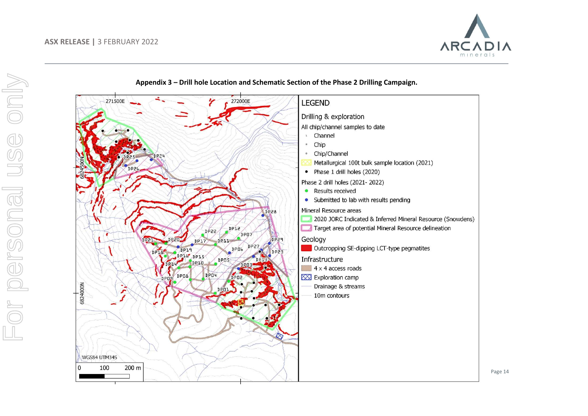



**Appendix 3 – Drill hole Location and Schematic Section of the Phase 2 Drilling Campaign.**

Page 14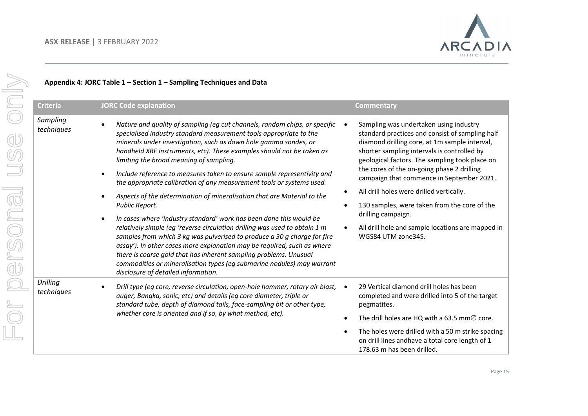

# only For personal use only*Sampling*  or personal use *Drilling*  <u>Ն</u>

### **Appendix 4: JORC Table 1 – Section 1 – Sampling Techniques and Data**

| <b>Criteria</b>        | <b>JORC Code explanation</b>                                                                                                                                                                                                                                                                                                                                                                                                                                                                                                                                                                                                                                                                                                                                                                                                                                                                                                                                                                                                                                                                                          | <b>Commentary</b>                                                                                                                                                                                                                                                                                                                                                                                                                                                                                                                   |
|------------------------|-----------------------------------------------------------------------------------------------------------------------------------------------------------------------------------------------------------------------------------------------------------------------------------------------------------------------------------------------------------------------------------------------------------------------------------------------------------------------------------------------------------------------------------------------------------------------------------------------------------------------------------------------------------------------------------------------------------------------------------------------------------------------------------------------------------------------------------------------------------------------------------------------------------------------------------------------------------------------------------------------------------------------------------------------------------------------------------------------------------------------|-------------------------------------------------------------------------------------------------------------------------------------------------------------------------------------------------------------------------------------------------------------------------------------------------------------------------------------------------------------------------------------------------------------------------------------------------------------------------------------------------------------------------------------|
| Sampling<br>techniques | Nature and quality of sampling (eg cut channels, random chips, or specific<br>specialised industry standard measurement tools appropriate to the<br>minerals under investigation, such as down hole gamma sondes, or<br>handheld XRF instruments, etc). These examples should not be taken as<br>limiting the broad meaning of sampling.<br>Include reference to measures taken to ensure sample representivity and<br>$\bullet$<br>the appropriate calibration of any measurement tools or systems used.<br>Aspects of the determination of mineralisation that are Material to the<br>Public Report.<br>In cases where 'industry standard' work has been done this would be<br>$\bullet$<br>relatively simple (eg 'reverse circulation drilling was used to obtain 1 m<br>samples from which 3 kg was pulverised to produce a 30 g charge for fire<br>assay'). In other cases more explanation may be required, such as where<br>there is coarse gold that has inherent sampling problems. Unusual<br>commodities or mineralisation types (eg submarine nodules) may warrant<br>disclosure of detailed information. | Sampling was undertaken using industry<br>standard practices and consist of sampling half<br>diamond drilling core, at 1m sample interval,<br>shorter sampling intervals is controlled by<br>geological factors. The sampling took place on<br>the cores of the on-going phase 2 drilling<br>campaign that commence in September 2021.<br>All drill holes were drilled vertically.<br>130 samples, were taken from the core of the<br>drilling campaign.<br>All drill hole and sample locations are mapped in<br>WGS84 UTM zone34S. |
| Drilling<br>techniques | Drill type (eg core, reverse circulation, open-hole hammer, rotary air blast,<br>auger, Bangka, sonic, etc) and details (eg core diameter, triple or<br>standard tube, depth of diamond tails, face-sampling bit or other type,<br>whether core is oriented and if so, by what method, etc).                                                                                                                                                                                                                                                                                                                                                                                                                                                                                                                                                                                                                                                                                                                                                                                                                          | 29 Vertical diamond drill holes has been<br>completed and were drilled into 5 of the target<br>pegmatites.<br>The drill holes are HQ with a 63.5 mm $\varnothing$ core.<br>The holes were drilled with a 50 m strike spacing<br>on drill lines andhave a total core length of 1<br>178.63 m has been drilled.                                                                                                                                                                                                                       |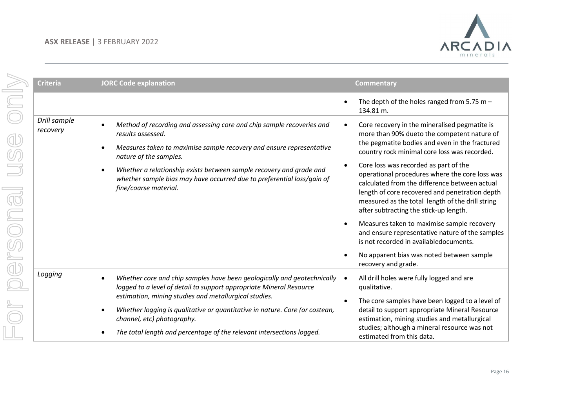

| <b>Criteria</b>          | <b>JORC Code explanation</b>                                                                                                                                                                                                                                                                                                                                           | <b>Commentary</b>                                                                                                                                                                                                                                                                                                                                                                                                                                                                                       |
|--------------------------|------------------------------------------------------------------------------------------------------------------------------------------------------------------------------------------------------------------------------------------------------------------------------------------------------------------------------------------------------------------------|---------------------------------------------------------------------------------------------------------------------------------------------------------------------------------------------------------------------------------------------------------------------------------------------------------------------------------------------------------------------------------------------------------------------------------------------------------------------------------------------------------|
|                          |                                                                                                                                                                                                                                                                                                                                                                        | The depth of the holes ranged from 5.75 m $-$<br>134.81 m.                                                                                                                                                                                                                                                                                                                                                                                                                                              |
| Drill sample<br>recovery | Method of recording and assessing core and chip sample recoveries and<br>results assessed.<br>Measures taken to maximise sample recovery and ensure representative<br>nature of the samples.<br>Whether a relationship exists between sample recovery and grade and<br>whether sample bias may have occurred due to preferential loss/gain of<br>fine/coarse material. | Core recovery in the mineralised pegmatite is<br>$\bullet$<br>more than 90% dueto the competent nature of<br>the pegmatite bodies and even in the fractured<br>country rock minimal core loss was recorded.<br>Core loss was recorded as part of the<br>operational procedures where the core loss was<br>calculated from the difference between actual<br>length of core recovered and penetration depth<br>measured as the total length of the drill string<br>after subtracting the stick-up length. |
|                          |                                                                                                                                                                                                                                                                                                                                                                        | Measures taken to maximise sample recovery<br>$\bullet$<br>and ensure representative nature of the samples<br>is not recorded in availabledocuments.<br>No apparent bias was noted between sample                                                                                                                                                                                                                                                                                                       |
|                          |                                                                                                                                                                                                                                                                                                                                                                        | recovery and grade.                                                                                                                                                                                                                                                                                                                                                                                                                                                                                     |
| Logging                  | Whether core and chip samples have been geologically and geotechnically<br>logged to a level of detail to support appropriate Mineral Resource<br>estimation, mining studies and metallurgical studies.                                                                                                                                                                | All drill holes were fully logged and are<br>qualitative.                                                                                                                                                                                                                                                                                                                                                                                                                                               |
|                          | Whether logging is qualitative or quantitative in nature. Core (or costean,<br>channel, etc) photography.                                                                                                                                                                                                                                                              | The core samples have been logged to a level of<br>$\bullet$<br>detail to support appropriate Mineral Resource<br>estimation, mining studies and metallurgical                                                                                                                                                                                                                                                                                                                                          |
|                          | The total length and percentage of the relevant intersections logged.                                                                                                                                                                                                                                                                                                  | studies; although a mineral resource was not<br>estimated from this data.                                                                                                                                                                                                                                                                                                                                                                                                                               |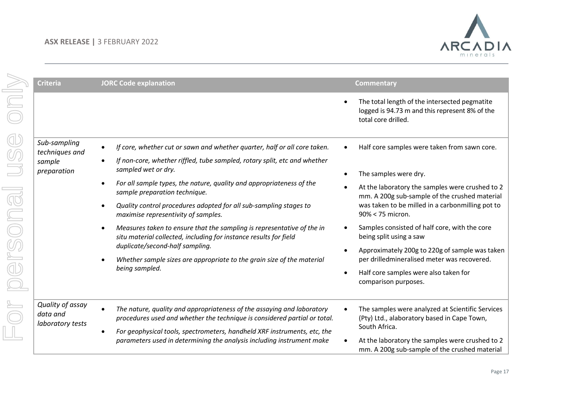

|                                                  | <b>Criteria</b>                                         | <b>JORC Code explanation</b>                                                                                                                                                                                                    | <b>Commentary</b>                                                                                                                      |
|--------------------------------------------------|---------------------------------------------------------|---------------------------------------------------------------------------------------------------------------------------------------------------------------------------------------------------------------------------------|----------------------------------------------------------------------------------------------------------------------------------------|
|                                                  |                                                         |                                                                                                                                                                                                                                 | The total length of the intersected pegmatite<br>logged is 94.73 m and this represent 8% of the<br>total core drilled.                 |
| $\textcircled{\scriptsize{1}}$<br>$\circledcirc$ | Sub-sampling<br>techniques and<br>sample<br>preparation | If core, whether cut or sawn and whether quarter, half or all core taken.<br>$\bullet$<br>If non-core, whether riffled, tube sampled, rotary split, etc and whether<br>sampled wet or dry.                                      | Half core samples were taken from sawn core.                                                                                           |
|                                                  |                                                         | For all sample types, the nature, quality and appropriateness of the<br>sample preparation technique.                                                                                                                           | The samples were dry.<br>$\bullet$<br>At the laboratory the samples were crushed to 2<br>mm. A 200g sub-sample of the crushed material |
|                                                  |                                                         | Quality control procedures adopted for all sub-sampling stages to<br>maximise representivity of samples.                                                                                                                        | was taken to be milled in a carbonmilling pot to<br>90% < 75 micron.                                                                   |
| rsona                                            |                                                         | Measures taken to ensure that the sampling is representative of the in<br>situ material collected, including for instance results for field                                                                                     | Samples consisted of half core, with the core<br>being split using a saw                                                               |
|                                                  |                                                         | duplicate/second-half sampling.<br>Whether sample sizes are appropriate to the grain size of the material                                                                                                                       | Approximately 200g to 220g of sample was taken<br>$\bullet$<br>per drilledmineralised meter was recovered.                             |
| $\overline{\mathbb{D}}$                          |                                                         | being sampled.                                                                                                                                                                                                                  | Half core samples were also taken for<br>$\bullet$<br>comparison purposes.                                                             |
|                                                  | Quality of assay<br>data and<br>laboratory tests        | The nature, quality and appropriateness of the assaying and laboratory<br>procedures used and whether the technique is considered partial or total.<br>For geophysical tools, spectrometers, handheld XRF instruments, etc, the | The samples were analyzed at Scientific Services<br>(Pty) Ltd., alaboratory based in Cape Town,<br>South Africa.                       |
|                                                  |                                                         | parameters used in determining the analysis including instrument make                                                                                                                                                           | At the laboratory the samples were crushed to 2<br>mm. A 200g sub-sample of the crushed material                                       |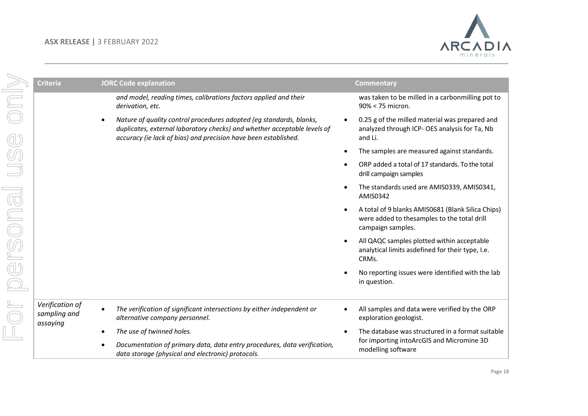

|       | <b>Criteria</b>                             | <b>JORC Code explanation</b>                                                                                                                                                                                       | <b>Commentary</b>                                                                                                     |
|-------|---------------------------------------------|--------------------------------------------------------------------------------------------------------------------------------------------------------------------------------------------------------------------|-----------------------------------------------------------------------------------------------------------------------|
|       |                                             | and model, reading times, calibrations factors applied and their<br>derivation, etc.                                                                                                                               | was taken to be milled in a carbonmilling pot to<br>90% < 75 micron.                                                  |
|       |                                             | Nature of quality control procedures adopted (eq standards, blanks,<br>duplicates, external laboratory checks) and whether acceptable levels of<br>accuracy (ie lack of bias) and precision have been established. | 0.25 g of the milled material was prepared and<br>analyzed through ICP- OES analysis for Ta, Nb<br>and Li.            |
|       |                                             |                                                                                                                                                                                                                    | The samples are measured against standards.                                                                           |
|       |                                             |                                                                                                                                                                                                                    | ORP added a total of 17 standards. To the total<br>drill campaign samples                                             |
|       |                                             |                                                                                                                                                                                                                    | The standards used are AMIS0339, AMIS0341,<br>AMIS0342                                                                |
| rsona |                                             |                                                                                                                                                                                                                    | A total of 9 blanks AMIS0681 (Blank Silica Chips)<br>were added to thesamples to the total drill<br>campaign samples. |
|       |                                             |                                                                                                                                                                                                                    | All QAQC samples plotted within acceptable<br>$\bullet$<br>analytical limits asdefined for their type, I.e.<br>CRMs.  |
|       |                                             |                                                                                                                                                                                                                    | No reporting issues were identified with the lab<br>in question.                                                      |
|       | Verification of<br>sampling and<br>assaying | The verification of significant intersections by either independent or<br>alternative company personnel.                                                                                                           | All samples and data were verified by the ORP<br>exploration geologist.                                               |
|       |                                             | The use of twinned holes.                                                                                                                                                                                          | The database was structured in a format suitable                                                                      |
|       |                                             | Documentation of primary data, data entry procedures, data verification,<br>data storage (physical and electronic) protocols.                                                                                      | for importing intoArcGIS and Micromine 3D<br>modelling software                                                       |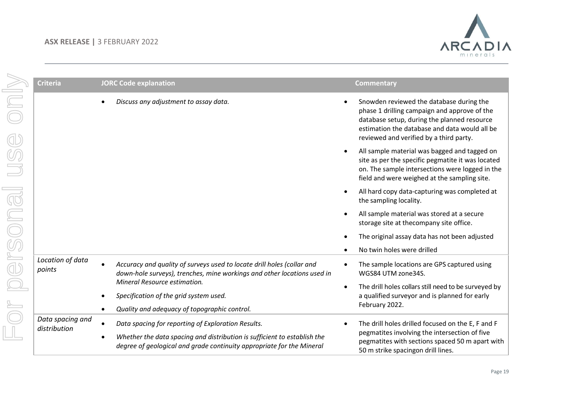

| <b>Criteria</b>            | <b>JORC Code explanation</b>                                                                                                                      |           | <b>Commentary</b>                                                                                                                                                                                                                   |
|----------------------------|---------------------------------------------------------------------------------------------------------------------------------------------------|-----------|-------------------------------------------------------------------------------------------------------------------------------------------------------------------------------------------------------------------------------------|
|                            | Discuss any adjustment to assay data.                                                                                                             |           | Snowden reviewed the database during the<br>phase 1 drilling campaign and approve of the<br>database setup, during the planned resource<br>estimation the database and data would all be<br>reviewed and verified by a third party. |
|                            |                                                                                                                                                   | $\bullet$ | All sample material was bagged and tagged on<br>site as per the specific pegmatite it was located<br>on. The sample intersections were logged in the<br>field and were weighed at the sampling site.                                |
|                            |                                                                                                                                                   | $\bullet$ | All hard copy data-capturing was completed at<br>the sampling locality.                                                                                                                                                             |
|                            |                                                                                                                                                   | $\bullet$ | All sample material was stored at a secure<br>storage site at thecompany site office.                                                                                                                                               |
|                            |                                                                                                                                                   |           | The original assay data has not been adjusted                                                                                                                                                                                       |
|                            |                                                                                                                                                   |           | No twin holes were drilled                                                                                                                                                                                                          |
| Location of data<br>points | Accuracy and quality of surveys used to locate drill holes (collar and<br>down-hole surveys), trenches, mine workings and other locations used in |           | The sample locations are GPS captured using<br>WGS84 UTM zone34S.                                                                                                                                                                   |
|                            | Mineral Resource estimation.                                                                                                                      | $\bullet$ | The drill holes collars still need to be surveyed by                                                                                                                                                                                |
|                            | Specification of the grid system used.                                                                                                            |           | a qualified surveyor and is planned for early<br>February 2022.                                                                                                                                                                     |
| Data spacing and           | Quality and adequacy of topographic control.                                                                                                      |           |                                                                                                                                                                                                                                     |
| distribution               | Data spacing for reporting of Exploration Results.                                                                                                | $\bullet$ | The drill holes drilled focused on the E, F and F<br>pegmatites involving the intersection of five                                                                                                                                  |
|                            | Whether the data spacing and distribution is sufficient to establish the<br>degree of geological and grade continuity appropriate for the Mineral |           | pegmatites with sections spaced 50 m apart with<br>50 m strike spacingon drill lines.                                                                                                                                               |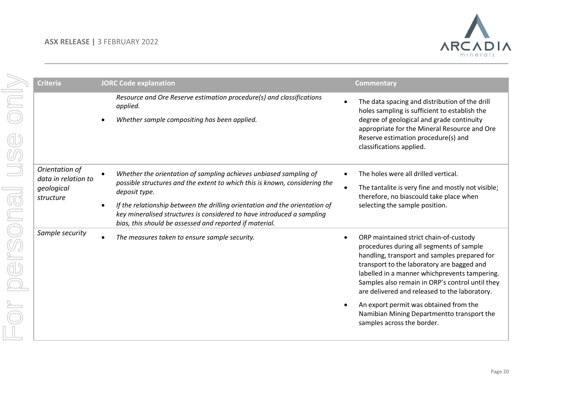

| <b>Criteria</b>                                                  | <b>JORC Code explanation</b>                                                                                                                                                                                                                                                                                                                                                         | <b>Commentary</b>                                                                                                                                                                                                                                                                                                                     |
|------------------------------------------------------------------|--------------------------------------------------------------------------------------------------------------------------------------------------------------------------------------------------------------------------------------------------------------------------------------------------------------------------------------------------------------------------------------|---------------------------------------------------------------------------------------------------------------------------------------------------------------------------------------------------------------------------------------------------------------------------------------------------------------------------------------|
|                                                                  | Resource and Ore Reserve estimation procedure(s) and classifications<br>applied.<br>Whether sample compositing has been applied.                                                                                                                                                                                                                                                     | The data spacing and distribution of the drill<br>holes sampling is sufficient to establish the<br>degree of geological and grade continuity<br>appropriate for the Mineral Resource and Ore<br>Reserve estimation procedure(s) and<br>classifications applied.                                                                       |
| Orientation of<br>data in relation to<br>geological<br>structure | Whether the orientation of sampling achieves unbiased sampling of<br>possible structures and the extent to which this is known, considering the<br>deposit type.<br>If the relationship between the drilling orientation and the orientation of<br>key mineralised structures is considered to have introduced a sampling<br>bias, this should be assessed and reported if material. | The holes were all drilled vertical.<br>The tantalite is very fine and mostly not visible;<br>therefore, no biascould take place when<br>selecting the sample position.                                                                                                                                                               |
| Sample security                                                  | The measures taken to ensure sample security.                                                                                                                                                                                                                                                                                                                                        | ORP maintained strict chain-of-custody<br>procedures during all segments of sample<br>handling, transport and samples prepared for<br>transport to the laboratory are bagged and<br>labelled in a manner whichprevents tampering.<br>Samples also remain in ORP's control until they<br>are delivered and released to the laboratory. |
|                                                                  |                                                                                                                                                                                                                                                                                                                                                                                      | An export permit was obtained from the<br>Namibian Mining Departmentto transport the<br>samples across the border.                                                                                                                                                                                                                    |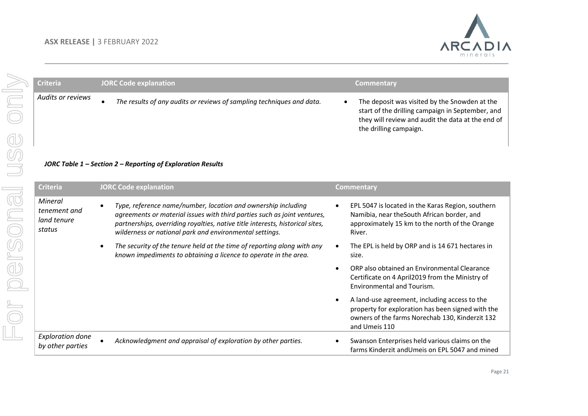

| <b>Criteria</b>                        | <b>JORC Code explanation</b>                                                                                                              | <b>Commentary</b>                                                                                                                                                                |
|----------------------------------------|-------------------------------------------------------------------------------------------------------------------------------------------|----------------------------------------------------------------------------------------------------------------------------------------------------------------------------------|
| Audits or reviews                      | The results of any audits or reviews of sampling techniques and data.<br>JORC Table $1$ – Section 2 – Reporting of Exploration Results    | The deposit was visited by the Snowden at the<br>start of the drilling campaign in September, and<br>they will review and audit the data at the end of<br>the drilling campaign. |
| <b>Criteria</b>                        | <b>JORC Code explanation</b>                                                                                                              | <b>Commentary</b>                                                                                                                                                                |
| Mineral<br>tenement and<br>land tenure | Type, reference name/number, location and ownership including<br>agreements or material issues with third parties such as joint ventures, | EPL 5047 is located in the Karas Region, southern<br>$\bullet$<br>Namibia, near the South African border, and                                                                    |

| The security of the tenure held at the time of reporting along with any | The EPL is held by ORP and is 14 671 hectares in |
|-------------------------------------------------------------------------|--------------------------------------------------|
| known impediments to obtaining a licence to operate in the area.        | size.                                            |

| $\bullet$ | ORP also obtained an Environmental Clearance    |
|-----------|-------------------------------------------------|
|           | Certificate on 4 April2019 from the Ministry of |
|           | Environmental and Tourism.                      |

| $\bullet$ | A land-use agreement, including access to the     |
|-----------|---------------------------------------------------|
|           | property for exploration has been signed with the |
|           | owners of the farms Norechab 130. Kinderzit 132   |
|           | and Umeis 110                                     |

| Exploration done<br>by other parties | Acknowledgment and appraisal of exploration by other parties. | Swanson Enterprises held various claims on the<br>farms Kinderzit andUmeis on EPL 5047 and mined |
|--------------------------------------|---------------------------------------------------------------|--------------------------------------------------------------------------------------------------|
|                                      |                                                               |                                                                                                  |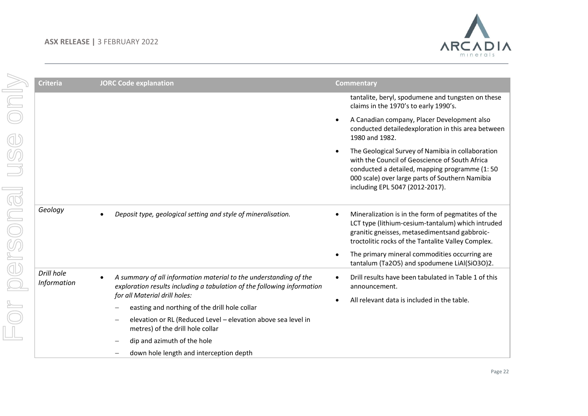

| <b>Criteria</b>                  | <b>JORC Code explanation</b>                                                                                                                                                                                                   | <b>Commentary</b>                                                                                                                                                                                                                                                                                                                         |
|----------------------------------|--------------------------------------------------------------------------------------------------------------------------------------------------------------------------------------------------------------------------------|-------------------------------------------------------------------------------------------------------------------------------------------------------------------------------------------------------------------------------------------------------------------------------------------------------------------------------------------|
|                                  |                                                                                                                                                                                                                                | tantalite, beryl, spodumene and tungsten on these<br>claims in the 1970's to early 1990's.                                                                                                                                                                                                                                                |
|                                  |                                                                                                                                                                                                                                | A Canadian company, Placer Development also<br>$\bullet$<br>conducted detailedexploration in this area between<br>1980 and 1982.                                                                                                                                                                                                          |
|                                  |                                                                                                                                                                                                                                | The Geological Survey of Namibia in collaboration<br>$\bullet$<br>with the Council of Geoscience of South Africa<br>conducted a detailed, mapping programme (1:50<br>000 scale) over large parts of Southern Namibia<br>including EPL 5047 (2012-2017).                                                                                   |
| Geology                          | Deposit type, geological setting and style of mineralisation.                                                                                                                                                                  | Mineralization is in the form of pegmatites of the<br>$\bullet$<br>LCT type (lithium-cesium-tantalum) which intruded<br>granitic gneisses, metasedimentsand gabbroic-<br>troctolitic rocks of the Tantalite Valley Complex.<br>The primary mineral commodities occurring are<br>$\bullet$<br>tantalum (Ta2O5) and spodumene LiAl(SiO3O)2. |
| Drill hole<br><b>Information</b> | A summary of all information material to the understanding of the<br>exploration results including a tabulation of the following information<br>for all Material drill holes:<br>easting and northing of the drill hole collar | Drill results have been tabulated in Table 1 of this<br>$\bullet$<br>announcement.<br>All relevant data is included in the table.<br>$\bullet$                                                                                                                                                                                            |
|                                  | elevation or RL (Reduced Level - elevation above sea level in<br>$\qquad \qquad -$<br>metres) of the drill hole collar                                                                                                         |                                                                                                                                                                                                                                                                                                                                           |
|                                  | dip and azimuth of the hole                                                                                                                                                                                                    |                                                                                                                                                                                                                                                                                                                                           |
|                                  | down hole length and interception depth                                                                                                                                                                                        |                                                                                                                                                                                                                                                                                                                                           |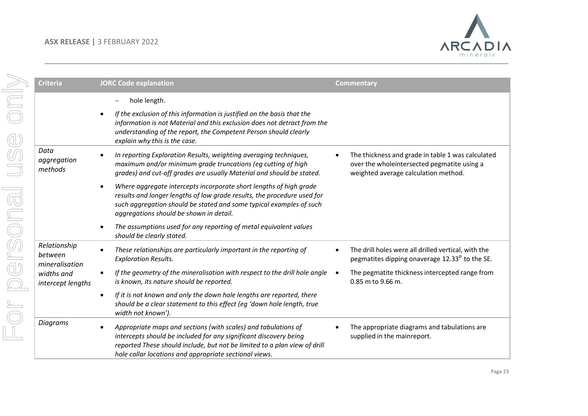

| <b>Criteria</b>                           | <b>JORC Code explanation</b>                                                                                                                                                                                                                                                            | <b>Commentary</b>                                                                                                                        |
|-------------------------------------------|-----------------------------------------------------------------------------------------------------------------------------------------------------------------------------------------------------------------------------------------------------------------------------------------|------------------------------------------------------------------------------------------------------------------------------------------|
|                                           | hole length.                                                                                                                                                                                                                                                                            |                                                                                                                                          |
|                                           | If the exclusion of this information is justified on the basis that the<br>information is not Material and this exclusion does not detract from the<br>understanding of the report, the Competent Person should clearly<br>explain why this is the case.                                |                                                                                                                                          |
| Data<br>aggregation<br>methods            | In reporting Exploration Results, weighting averaging techniques,<br>maximum and/or minimum grade truncations (eg cutting of high<br>grades) and cut-off grades are usually Material and should be stated.                                                                              | The thickness and grade in table 1 was calculated<br>over the wholeintersected pegmatite using a<br>weighted average calculation method. |
|                                           | Where aggregate intercepts incorporate short lengths of high grade<br>$\bullet$<br>results and longer lengths of low grade results, the procedure used for<br>such aggregation should be stated and some typical examples of such<br>aggregations should be shown in detail.            |                                                                                                                                          |
|                                           | The assumptions used for any reporting of metal equivalent values<br>$\bullet$<br>should be clearly stated.                                                                                                                                                                             |                                                                                                                                          |
| Relationship<br>between<br>mineralisation | These relationships are particularly important in the reporting of<br><b>Exploration Results.</b>                                                                                                                                                                                       | The drill holes were all drilled vertical, with the<br>pegmatites dipping onaverage $12.330$ to the SE.                                  |
| widths and<br>intercept lengths           | If the geometry of the mineralisation with respect to the drill hole angle<br>$\bullet$<br>is known, its nature should be reported.                                                                                                                                                     | The pegmatite thickness intercepted range from<br>$\bullet$<br>0.85 m to 9.66 m.                                                         |
|                                           | If it is not known and only the down hole lengths are reported, there<br>$\bullet$<br>should be a clear statement to this effect (eg 'down hole length, true<br>width not known').                                                                                                      |                                                                                                                                          |
| Diagrams                                  | Appropriate maps and sections (with scales) and tabulations of<br>$\bullet$<br>intercepts should be included for any significant discovery being<br>reported These should include, but not be limited to a plan view of drill<br>hole collar locations and appropriate sectional views. | The appropriate diagrams and tabulations are<br>supplied in the mainreport.                                                              |